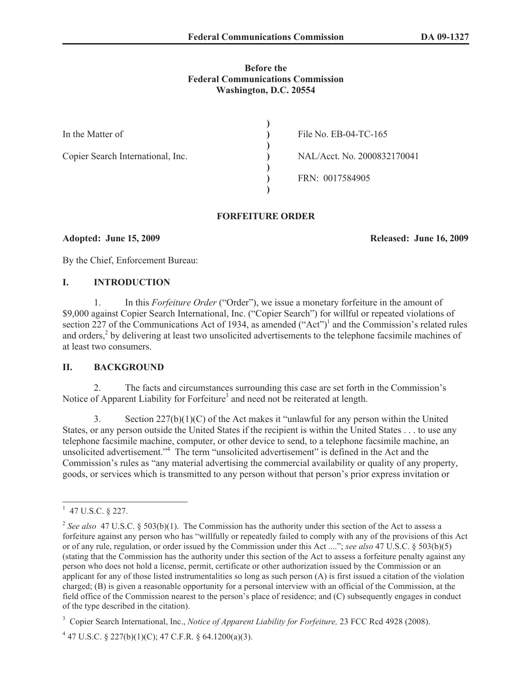#### **Before the Federal Communications Commission Washington, D.C. 20554**

| In the Matter of                  | File No. EB-04-TC-165       |
|-----------------------------------|-----------------------------|
| Copier Search International, Inc. | NAL/Acct. No. 2000832170041 |
|                                   | FRN: 0017584905             |

#### **FORFEITURE ORDER**

**Adopted: June 15, 2009 Released: June 16, 2009**

By the Chief, Enforcement Bureau:

# **I. INTRODUCTION**

1. In this *Forfeiture Order* ("Order"), we issue a monetary forfeiture in the amount of \$9,000 against Copier Search International, Inc. ("Copier Search") for willful or repeated violations of section 227 of the Communications Act of 1934, as amended ("Act")<sup>1</sup> and the Commission's related rules and orders,<sup>2</sup> by delivering at least two unsolicited advertisements to the telephone facsimile machines of at least two consumers.

# **II. BACKGROUND**

2. The facts and circumstances surrounding this case are set forth in the Commission's Notice of Apparent Liability for Forfeiture<sup>3</sup> and need not be reiterated at length.

3. Section 227(b)(1)(C) of the Act makes it "unlawful for any person within the United States, or any person outside the United States if the recipient is within the United States . . . to use any telephone facsimile machine, computer, or other device to send, to a telephone facsimile machine, an unsolicited advertisement." <sup>4</sup> The term "unsolicited advertisement" is defined in the Act and the Commission's rules as "any material advertising the commercial availability or quality of any property, goods, or services which is transmitted to any person without that person's prior express invitation or

 $1$  47 U.S.C. § 227.

<sup>&</sup>lt;sup>2</sup> See also 47 U.S.C. § 503(b)(1). The Commission has the authority under this section of the Act to assess a forfeiture against any person who has "willfully or repeatedly failed to comply with any of the provisions of this Act or of any rule, regulation, or order issued by the Commission under this Act ...."; *see also* 47 U.S.C. § 503(b)(5) (stating that the Commission has the authority under this section of the Act to assess a forfeiture penalty against any person who does not hold a license, permit, certificate or other authorization issued by the Commission or an applicant for any of those listed instrumentalities so long as such person (A) is first issued a citation of the violation charged; (B) is given a reasonable opportunity for a personal interview with an official of the Commission, at the field office of the Commission nearest to the person's place of residence; and (C) subsequently engages in conduct of the type described in the citation).

<sup>3</sup> Copier Search International, Inc., *Notice of Apparent Liability for Forfeiture,* 23 FCC Rcd 4928 (2008).

 $4$  47 U.S.C. § 227(b)(1)(C); 47 C.F.R. § 64.1200(a)(3).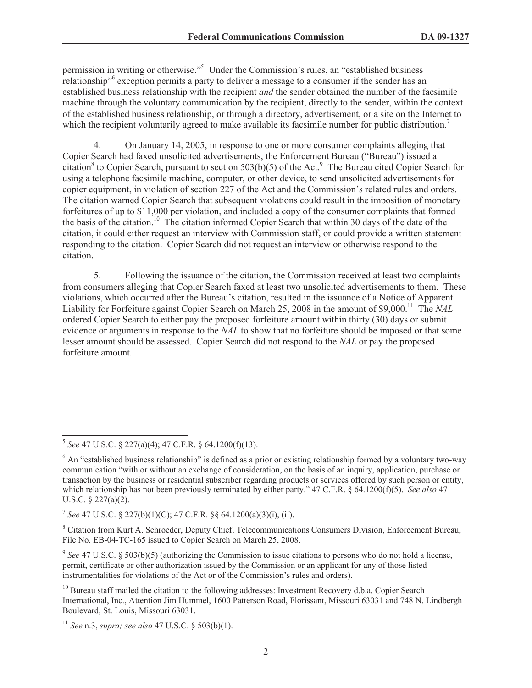permission in writing or otherwise."<sup>5</sup> Under the Commission's rules, an "established business relationship<sup>16</sup> exception permits a party to deliver a message to a consumer if the sender has an established business relationship with the recipient *and* the sender obtained the number of the facsimile machine through the voluntary communication by the recipient, directly to the sender, within the context of the established business relationship, or through a directory, advertisement, or a site on the Internet to which the recipient voluntarily agreed to make available its facsimile number for public distribution.<sup>7</sup>

4. On January 14, 2005, in response to one or more consumer complaints alleging that Copier Search had faxed unsolicited advertisements, the Enforcement Bureau ("Bureau") issued a citation<sup>8</sup> to Copier Search, pursuant to section  $503(b)(5)$  of the Act.<sup>9</sup> The Bureau cited Copier Search for using a telephone facsimile machine, computer, or other device, to send unsolicited advertisements for copier equipment, in violation of section 227 of the Act and the Commission's related rules and orders. The citation warned Copier Search that subsequent violations could result in the imposition of monetary forfeitures of up to \$11,000 per violation, and included a copy of the consumer complaints that formed the basis of the citation.<sup>10</sup> The citation informed Copier Search that within 30 days of the date of the citation, it could either request an interview with Commission staff, or could provide a written statement responding to the citation. Copier Search did not request an interview or otherwise respond to the citation.

5. Following the issuance of the citation, the Commission received at least two complaints from consumers alleging that Copier Search faxed at least two unsolicited advertisements to them. These violations, which occurred after the Bureau's citation, resulted in the issuance of a Notice of Apparent Liability for Forfeiture against Copier Search on March 25, 2008 in the amount of \$9,000.<sup>11</sup> The *NAL* ordered Copier Search to either pay the proposed forfeiture amount within thirty (30) days or submit evidence or arguments in response to the *NAL* to show that no forfeiture should be imposed or that some lesser amount should be assessed. Copier Search did not respond to the *NAL* or pay the proposed forfeiture amount.

7 *See* 47 U.S.C. § 227(b)(1)(C); 47 C.F.R. §§ 64.1200(a)(3)(i), (ii).

<sup>8</sup> Citation from Kurt A. Schroeder, Deputy Chief, Telecommunications Consumers Division, Enforcement Bureau, File No. EB-04-TC-165 issued to Copier Search on March 25, 2008.

<sup>9</sup> See 47 U.S.C. § 503(b)(5) (authorizing the Commission to issue citations to persons who do not hold a license, permit, certificate or other authorization issued by the Commission or an applicant for any of those listed instrumentalities for violations of the Act or of the Commission's rules and orders).

<sup>5</sup> *See* 47 U.S.C. § 227(a)(4); 47 C.F.R. § 64.1200(f)(13).

<sup>&</sup>lt;sup>6</sup> An "established business relationship" is defined as a prior or existing relationship formed by a voluntary two-way communication "with or without an exchange of consideration, on the basis of an inquiry, application, purchase or transaction by the business or residential subscriber regarding products or services offered by such person or entity, which relationship has not been previously terminated by either party." 47 C.F.R. § 64.1200(f)(5). *See also* 47 U.S.C. § 227(a)(2).

<sup>&</sup>lt;sup>10</sup> Bureau staff mailed the citation to the following addresses: Investment Recovery d.b.a. Copier Search International, Inc., Attention Jim Hummel, 1600 Patterson Road, Florissant, Missouri 63031 and 748 N. Lindbergh Boulevard, St. Louis, Missouri 63031.

<sup>11</sup> *See* n.3, *supra; see also* 47 U.S.C. § 503(b)(1).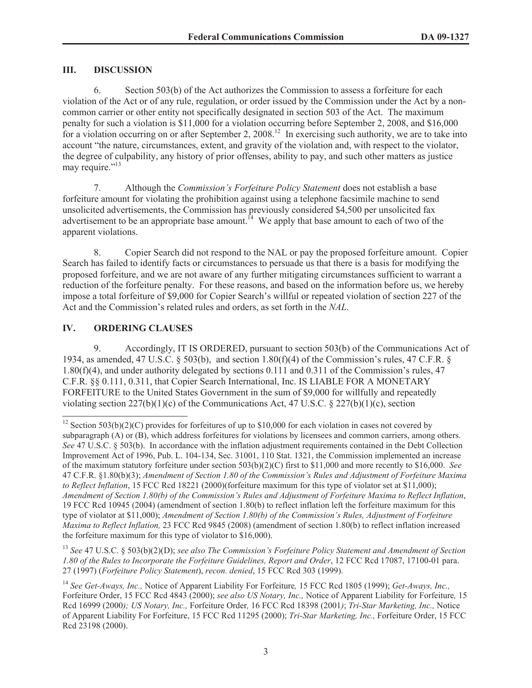# **III. DISCUSSION**

6. Section 503(b) of the Act authorizes the Commission to assess a forfeiture for each violation of the Act or of any rule, regulation, or order issued by the Commission under the Act by a noncommon carrier or other entity not specifically designated in section 503 of the Act. The maximum penalty for such a violation is \$11,000 for a violation occurring before September 2, 2008, and \$16,000 for a violation occurring on or after September 2, 2008.<sup>12</sup> In exercising such authority, we are to take into account "the nature, circumstances, extent, and gravity of the violation and, with respect to the violator, the degree of culpability, any history of prior offenses, ability to pay, and such other matters as justice may require."<sup>13</sup>

7. Although the *Commission's Forfeiture Policy Statement* does not establish a base forfeiture amount for violating the prohibition against using a telephone facsimile machine to send unsolicited advertisements, the Commission has previously considered \$4,500 per unsolicited fax advertisement to be an appropriate base amount.<sup>14</sup> We apply that base amount to each of two of the apparent violations.

8. Copier Search did not respond to the NAL or pay the proposed forfeiture amount. Copier Search has failed to identify facts or circumstances to persuade us that there is a basis for modifying the proposed forfeiture, and we are not aware of any further mitigating circumstances sufficient to warrant a reduction of the forfeiture penalty. For these reasons, and based on the information before us, we hereby impose a total forfeiture of \$9,000 for Copier Search's willful or repeated violation of section 227 of the Act and the Commission's related rules and orders, as set forth in the *NAL*.

# **IV. ORDERING CLAUSES**

9. Accordingly, IT IS ORDERED, pursuant to section 503(b) of the Communications Act of 1934, as amended, 47 U.S.C. § 503(b), and section 1.80(f)(4) of the Commission's rules, 47 C.F.R. § 1.80(f)(4), and under authority delegated by sections 0.111 and 0.311 of the Commission's rules, 47 C.F.R. §§ 0.111, 0.311, that Copier Search International, Inc. IS LIABLE FOR A MONETARY FORFEITURE to the United States Government in the sum of \$9,000 for willfully and repeatedly violating section  $227(b)(1)(c)$  of the Communications Act, 47 U.S.C. § 227(b)(1)(c), section

<sup>13</sup> *See* 47 U.S.C. § 503(b)(2)(D); *see also The Commission's Forfeiture Policy Statement and Amendment of Section 1.80 of the Rules to Incorporate the Forfeiture Guidelines, Report and Order*, 12 FCC Rcd 17087, 17100-01 para. 27 (1997) (*Forfeiture Policy Statement*), *recon. denied*, 15 FCC Rcd 303 (1999).

<sup>&</sup>lt;sup>12</sup> Section 503(b)(2)(C) provides for forfeitures of up to \$10,000 for each violation in cases not covered by subparagraph (A) or (B), which address forfeitures for violations by licensees and common carriers, among others. *See* 47 U.S.C. § 503(b). In accordance with the inflation adjustment requirements contained in the Debt Collection Improvement Act of 1996, Pub. L. 104-134, Sec. 31001, 110 Stat. 1321, the Commission implemented an increase of the maximum statutory forfeiture under section 503(b)(2)(C) first to \$11,000 and more recently to \$16,000. *See* 47 C.F.R. §1.80(b)(3); *Amendment of Section 1.80 of the Commission's Rules and Adjustment of Forfeiture Maxima to Reflect Inflation*, 15 FCC Rcd 18221 (2000)(forfeiture maximum for this type of violator set at \$11,000); *Amendment of Section 1.80(b) of the Commission's Rules and Adjustment of Forfeiture Maxima to Reflect Inflation*, 19 FCC Rcd 10945 (2004) (amendment of section 1.80(b) to reflect inflation left the forfeiture maximum for this type of violator at \$11,000); *Amendment of Section 1.80(b) of the Commission's Rules, Adjustment of Forfeiture Maxima to Reflect Inflation,* 23 FCC Rcd 9845 (2008) (amendment of section 1.80(b) to reflect inflation increased the forfeiture maximum for this type of violator to \$16,000).

<sup>14</sup> *See Get-Aways, Inc.,* Notice of Apparent Liability For Forfeiture*,* 15 FCC Rcd 1805 (1999); *Get-Aways, Inc.,*  Forfeiture Order, 15 FCC Rcd 4843 (2000); *see also US Notary, Inc.,* Notice of Apparent Liability for Forfeiture*,* 15 Rcd 16999 (2000*); US Notary, Inc.,* Forfeiture Order*,* 16 FCC Rcd 18398 (2001*)*; *Tri-Star Marketing, Inc.,* Notice of Apparent Liability For Forfeiture, 15 FCC Rcd 11295 (2000); *Tri-Star Marketing, Inc.,* Forfeiture Order, 15 FCC Rcd 23198 (2000).